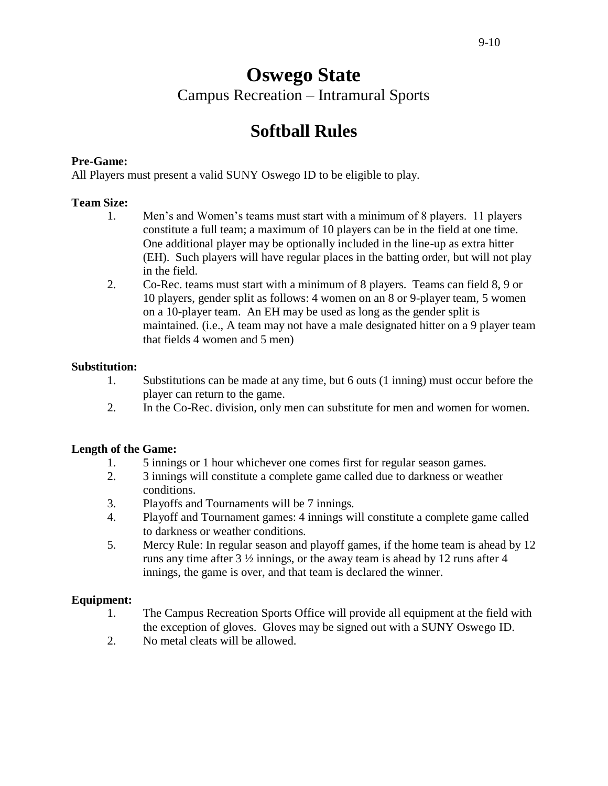# **Oswego State** Campus Recreation – Intramural Sports

# **Softball Rules**

## **Pre-Game:**

All Players must present a valid SUNY Oswego ID to be eligible to play.

### **Team Size:**

- 1. Men's and Women's teams must start with a minimum of 8 players. 11 players constitute a full team; a maximum of 10 players can be in the field at one time. One additional player may be optionally included in the line-up as extra hitter (EH). Such players will have regular places in the batting order, but will not play in the field.
- 2. Co-Rec. teams must start with a minimum of 8 players. Teams can field 8, 9 or 10 players, gender split as follows: 4 women on an 8 or 9-player team, 5 women on a 10-player team. An EH may be used as long as the gender split is maintained. (i.e., A team may not have a male designated hitter on a 9 player team that fields 4 women and 5 men)

#### **Substitution:**

- 1. Substitutions can be made at any time, but 6 outs (1 inning) must occur before the player can return to the game.
- 2. In the Co-Rec. division, only men can substitute for men and women for women.

#### **Length of the Game:**

- 1. 5 innings or 1 hour whichever one comes first for regular season games.
- 2. 3 innings will constitute a complete game called due to darkness or weather conditions.
- 3. Playoffs and Tournaments will be 7 innings.
- 4. Playoff and Tournament games: 4 innings will constitute a complete game called to darkness or weather conditions.
- 5. Mercy Rule: In regular season and playoff games, if the home team is ahead by 12 runs any time after 3 ½ innings, or the away team is ahead by 12 runs after 4 innings, the game is over, and that team is declared the winner.

#### **Equipment:**

- 1. The Campus Recreation Sports Office will provide all equipment at the field with the exception of gloves. Gloves may be signed out with a SUNY Oswego ID.
- 2. No metal cleats will be allowed.